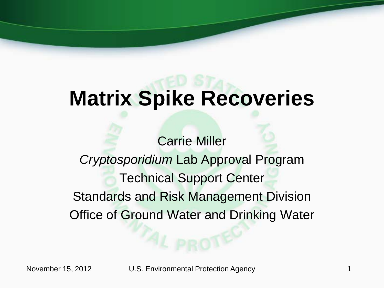# **Matrix Spike Recoveries**

Carrie Miller *Cryptosporidium* Lab Approval Program Technical Support Center Standards and Risk Management Division Office of Ground Water and Drinking Water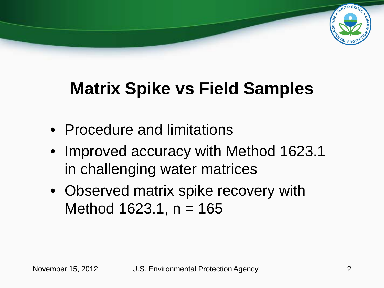

# **Matrix Spike vs Field Samples**

- Procedure and limitations
- Improved accuracy with Method 1623.1 in challenging water matrices
- Observed matrix spike recovery with Method  $1623.1$ , n = 165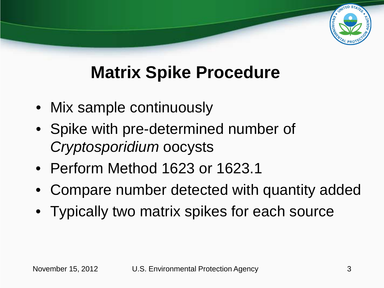# **Matrix Spike Procedure**

- Mix sample continuously
- Spike with pre-determined number of *Cryptosporidium* oocysts
- Perform Method 1623 or 1623.1
- Compare number detected with quantity added
- Typically two matrix spikes for each source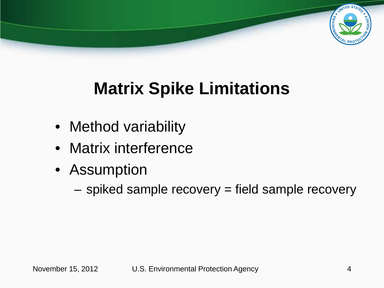

# **Matrix Spike Limitations**

- Method variability
- Matrix interference
- Assumption
	- spiked sample recovery = field sample recovery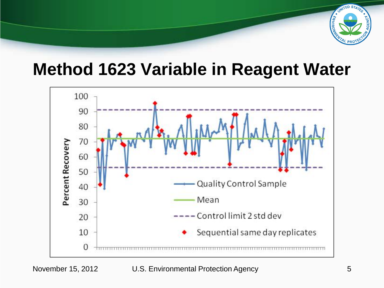

#### **Method 1623 Variable in Reagent Water**

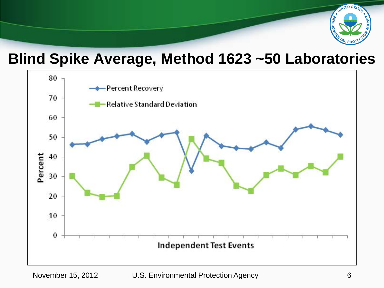

#### **Blind Spike Average, Method 1623 ~50 Laboratories**

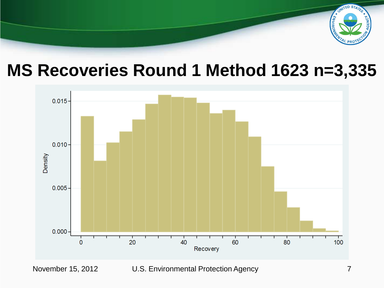

#### **MS Recoveries Round 1 Method 1623 n=3,335**

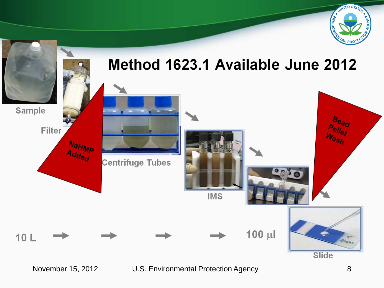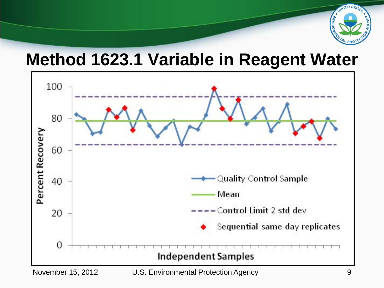

### **Method 1623.1 Variable in Reagent Water**

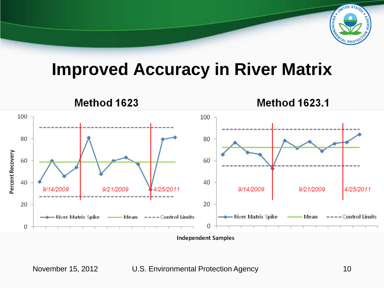

### **Improved Accuracy in River Matrix**

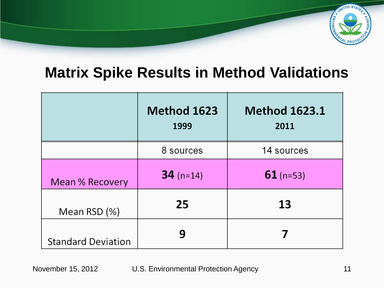

#### **Matrix Spike Results in Method Validations**

|                           | Method 1623<br>1999 | <b>Method 1623.1</b><br>2011 |
|---------------------------|---------------------|------------------------------|
|                           | 8 sources           | 14 sources                   |
| Mean % Recovery           | $34$ (n=14)         | $61$ (n=53)                  |
| Mean RSD (%)              | 25                  | 13                           |
| <b>Standard Deviation</b> | q                   |                              |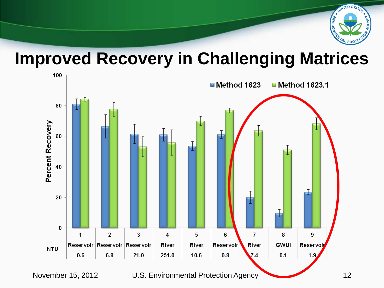

#### **Improved Recovery in Challenging Matrices**

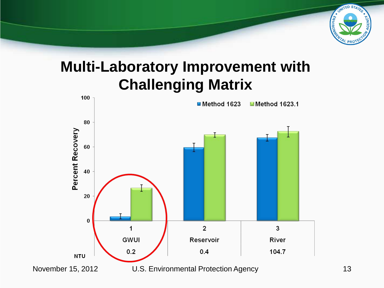

#### **Multi-Laboratory Improvement with Challenging Matrix**

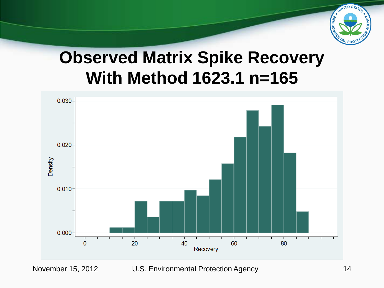

# **Observed Matrix Spike Recovery With Method 1623.1 n=165**

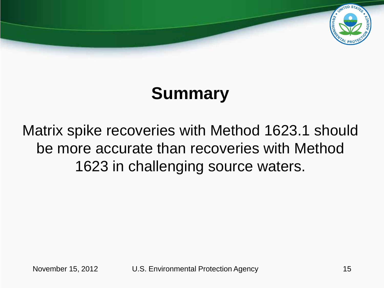

# **Summary**

#### Matrix spike recoveries with Method 1623.1 should be more accurate than recoveries with Method 1623 in challenging source waters.